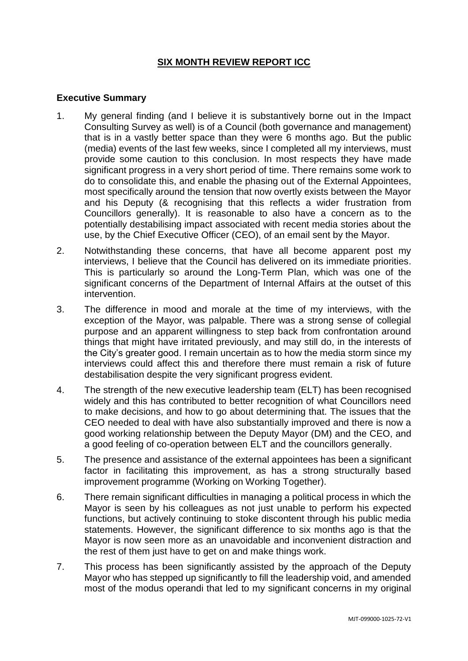# **SIX MONTH REVIEW REPORT ICC**

## **Executive Summary**

- 1. My general finding (and I believe it is substantively borne out in the Impact Consulting Survey as well) is of a Council (both governance and management) that is in a vastly better space than they were 6 months ago. But the public (media) events of the last few weeks, since I completed all my interviews, must provide some caution to this conclusion. In most respects they have made significant progress in a very short period of time. There remains some work to do to consolidate this, and enable the phasing out of the External Appointees, most specifically around the tension that now overtly exists between the Mayor and his Deputy (& recognising that this reflects a wider frustration from Councillors generally). It is reasonable to also have a concern as to the potentially destabilising impact associated with recent media stories about the use, by the Chief Executive Officer (CEO), of an email sent by the Mayor.
- 2. Notwithstanding these concerns, that have all become apparent post my interviews, I believe that the Council has delivered on its immediate priorities. This is particularly so around the Long-Term Plan, which was one of the significant concerns of the Department of Internal Affairs at the outset of this intervention.
- 3. The difference in mood and morale at the time of my interviews, with the exception of the Mayor, was palpable. There was a strong sense of collegial purpose and an apparent willingness to step back from confrontation around things that might have irritated previously, and may still do, in the interests of the City's greater good. I remain uncertain as to how the media storm since my interviews could affect this and therefore there must remain a risk of future destabilisation despite the very significant progress evident.
- 4. The strength of the new executive leadership team (ELT) has been recognised widely and this has contributed to better recognition of what Councillors need to make decisions, and how to go about determining that. The issues that the CEO needed to deal with have also substantially improved and there is now a good working relationship between the Deputy Mayor (DM) and the CEO, and a good feeling of co-operation between ELT and the councillors generally.
- 5. The presence and assistance of the external appointees has been a significant factor in facilitating this improvement, as has a strong structurally based improvement programme (Working on Working Together).
- 6. There remain significant difficulties in managing a political process in which the Mayor is seen by his colleagues as not just unable to perform his expected functions, but actively continuing to stoke discontent through his public media statements. However, the significant difference to six months ago is that the Mayor is now seen more as an unavoidable and inconvenient distraction and the rest of them just have to get on and make things work.
- 7. This process has been significantly assisted by the approach of the Deputy Mayor who has stepped up significantly to fill the leadership void, and amended most of the modus operandi that led to my significant concerns in my original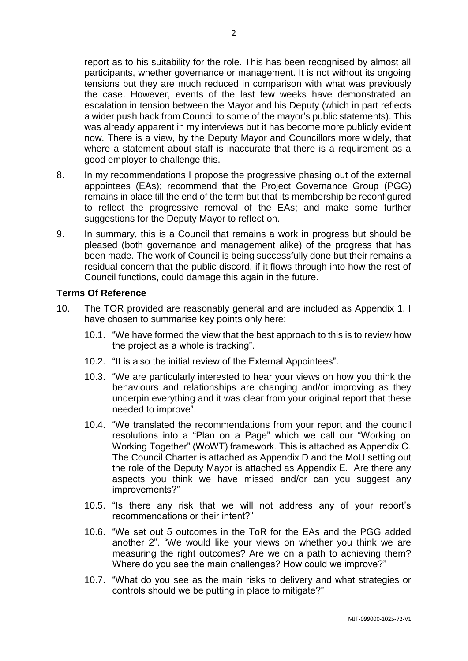report as to his suitability for the role. This has been recognised by almost all participants, whether governance or management. It is not without its ongoing tensions but they are much reduced in comparison with what was previously the case. However, events of the last few weeks have demonstrated an escalation in tension between the Mayor and his Deputy (which in part reflects a wider push back from Council to some of the mayor's public statements). This was already apparent in my interviews but it has become more publicly evident now. There is a view, by the Deputy Mayor and Councillors more widely, that where a statement about staff is inaccurate that there is a requirement as a good employer to challenge this.

- 8. In my recommendations I propose the progressive phasing out of the external appointees (EAs); recommend that the Project Governance Group (PGG) remains in place till the end of the term but that its membership be reconfigured to reflect the progressive removal of the EAs; and make some further suggestions for the Deputy Mayor to reflect on.
- 9. In summary, this is a Council that remains a work in progress but should be pleased (both governance and management alike) of the progress that has been made. The work of Council is being successfully done but their remains a residual concern that the public discord, if it flows through into how the rest of Council functions, could damage this again in the future.

#### **Terms Of Reference**

- 10. The TOR provided are reasonably general and are included as Appendix 1. I have chosen to summarise key points only here:
	- 10.1. "We have formed the view that the best approach to this is to review how the project as a whole is tracking".
	- 10.2. "It is also the initial review of the External Appointees".
	- 10.3. "We are particularly interested to hear your views on how you think the behaviours and relationships are changing and/or improving as they underpin everything and it was clear from your original report that these needed to improve".
	- 10.4. "We translated the recommendations from your report and the council resolutions into a "Plan on a Page" which we call our "Working on Working Together" (WoWT) framework. This is attached as Appendix C. The Council Charter is attached as Appendix D and the MoU setting out the role of the Deputy Mayor is attached as Appendix E. Are there any aspects you think we have missed and/or can you suggest any improvements?"
	- 10.5. "Is there any risk that we will not address any of your report's recommendations or their intent?"
	- 10.6. "We set out 5 outcomes in the ToR for the EAs and the PGG added another 2". "We would like your views on whether you think we are measuring the right outcomes? Are we on a path to achieving them? Where do you see the main challenges? How could we improve?"
	- 10.7. "What do you see as the main risks to delivery and what strategies or controls should we be putting in place to mitigate?"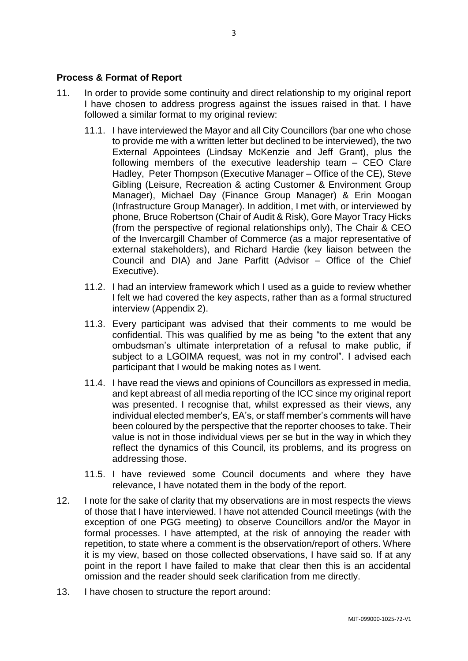#### **Process & Format of Report**

- 11. In order to provide some continuity and direct relationship to my original report I have chosen to address progress against the issues raised in that. I have followed a similar format to my original review:
	- 11.1. I have interviewed the Mayor and all City Councillors (bar one who chose to provide me with a written letter but declined to be interviewed), the two External Appointees (Lindsay McKenzie and Jeff Grant), plus the following members of the executive leadership team – CEO Clare Hadley, Peter Thompson (Executive Manager – Office of the CE), Steve Gibling (Leisure, Recreation & acting Customer & Environment Group Manager), Michael Day (Finance Group Manager) & Erin Moogan (Infrastructure Group Manager). In addition, I met with, or interviewed by phone, Bruce Robertson (Chair of Audit & Risk), Gore Mayor Tracy Hicks (from the perspective of regional relationships only), The Chair & CEO of the Invercargill Chamber of Commerce (as a major representative of external stakeholders), and Richard Hardie (key liaison between the Council and DIA) and Jane Parfitt (Advisor – Office of the Chief Executive).
	- 11.2. I had an interview framework which I used as a guide to review whether I felt we had covered the key aspects, rather than as a formal structured interview (Appendix 2).
	- 11.3. Every participant was advised that their comments to me would be confidential. This was qualified by me as being "to the extent that any ombudsman's ultimate interpretation of a refusal to make public, if subject to a LGOIMA request, was not in my control". I advised each participant that I would be making notes as I went.
	- 11.4. I have read the views and opinions of Councillors as expressed in media, and kept abreast of all media reporting of the ICC since my original report was presented. I recognise that, whilst expressed as their views, any individual elected member's, EA's, or staff member's comments will have been coloured by the perspective that the reporter chooses to take. Their value is not in those individual views per se but in the way in which they reflect the dynamics of this Council, its problems, and its progress on addressing those.
	- 11.5. I have reviewed some Council documents and where they have relevance, I have notated them in the body of the report.
- 12. I note for the sake of clarity that my observations are in most respects the views of those that I have interviewed. I have not attended Council meetings (with the exception of one PGG meeting) to observe Councillors and/or the Mayor in formal processes. I have attempted, at the risk of annoying the reader with repetition, to state where a comment is the observation/report of others. Where it is my view, based on those collected observations, I have said so. If at any point in the report I have failed to make that clear then this is an accidental omission and the reader should seek clarification from me directly.
- 13. I have chosen to structure the report around: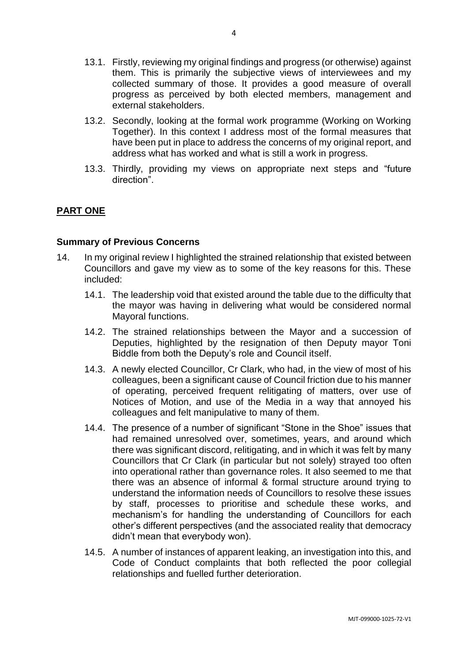- 13.1. Firstly, reviewing my original findings and progress (or otherwise) against them. This is primarily the subjective views of interviewees and my collected summary of those. It provides a good measure of overall progress as perceived by both elected members, management and external stakeholders.
- 13.2. Secondly, looking at the formal work programme (Working on Working Together). In this context I address most of the formal measures that have been put in place to address the concerns of my original report, and address what has worked and what is still a work in progress.
- 13.3. Thirdly, providing my views on appropriate next steps and "future direction".

## **PART ONE**

#### **Summary of Previous Concerns**

- 14. In my original review I highlighted the strained relationship that existed between Councillors and gave my view as to some of the key reasons for this. These included:
	- 14.1. The leadership void that existed around the table due to the difficulty that the mayor was having in delivering what would be considered normal Mayoral functions.
	- 14.2. The strained relationships between the Mayor and a succession of Deputies, highlighted by the resignation of then Deputy mayor Toni Biddle from both the Deputy's role and Council itself.
	- 14.3. A newly elected Councillor, Cr Clark, who had, in the view of most of his colleagues, been a significant cause of Council friction due to his manner of operating, perceived frequent relitigating of matters, over use of Notices of Motion, and use of the Media in a way that annoyed his colleagues and felt manipulative to many of them.
	- 14.4. The presence of a number of significant "Stone in the Shoe" issues that had remained unresolved over, sometimes, years, and around which there was significant discord, relitigating, and in which it was felt by many Councillors that Cr Clark (in particular but not solely) strayed too often into operational rather than governance roles. It also seemed to me that there was an absence of informal & formal structure around trying to understand the information needs of Councillors to resolve these issues by staff, processes to prioritise and schedule these works, and mechanism's for handling the understanding of Councillors for each other's different perspectives (and the associated reality that democracy didn't mean that everybody won).
	- 14.5. A number of instances of apparent leaking, an investigation into this, and Code of Conduct complaints that both reflected the poor collegial relationships and fuelled further deterioration.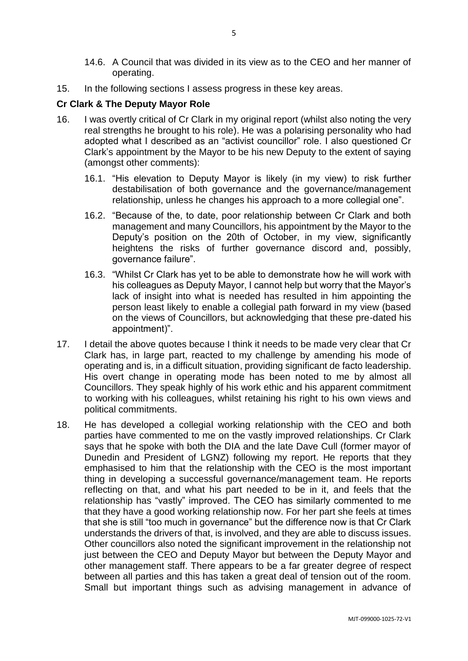- 14.6. A Council that was divided in its view as to the CEO and her manner of operating.
- 15. In the following sections I assess progress in these key areas.

## **Cr Clark & The Deputy Mayor Role**

- 16. I was overtly critical of Cr Clark in my original report (whilst also noting the very real strengths he brought to his role). He was a polarising personality who had adopted what I described as an "activist councillor" role. I also questioned Cr Clark's appointment by the Mayor to be his new Deputy to the extent of saying (amongst other comments):
	- 16.1. "His elevation to Deputy Mayor is likely (in my view) to risk further destabilisation of both governance and the governance/management relationship, unless he changes his approach to a more collegial one".
	- 16.2. "Because of the, to date, poor relationship between Cr Clark and both management and many Councillors, his appointment by the Mayor to the Deputy's position on the 20th of October, in my view, significantly heightens the risks of further governance discord and, possibly, governance failure".
	- 16.3. "Whilst Cr Clark has yet to be able to demonstrate how he will work with his colleagues as Deputy Mayor, I cannot help but worry that the Mayor's lack of insight into what is needed has resulted in him appointing the person least likely to enable a collegial path forward in my view (based on the views of Councillors, but acknowledging that these pre-dated his appointment)".
- 17. I detail the above quotes because I think it needs to be made very clear that Cr Clark has, in large part, reacted to my challenge by amending his mode of operating and is, in a difficult situation, providing significant de facto leadership. His overt change in operating mode has been noted to me by almost all Councillors. They speak highly of his work ethic and his apparent commitment to working with his colleagues, whilst retaining his right to his own views and political commitments.
- 18. He has developed a collegial working relationship with the CEO and both parties have commented to me on the vastly improved relationships. Cr Clark says that he spoke with both the DIA and the late Dave Cull (former mayor of Dunedin and President of LGNZ) following my report. He reports that they emphasised to him that the relationship with the CEO is the most important thing in developing a successful governance/management team. He reports reflecting on that, and what his part needed to be in it, and feels that the relationship has "vastly" improved. The CEO has similarly commented to me that they have a good working relationship now. For her part she feels at times that she is still "too much in governance" but the difference now is that Cr Clark understands the drivers of that, is involved, and they are able to discuss issues. Other councillors also noted the significant improvement in the relationship not just between the CEO and Deputy Mayor but between the Deputy Mayor and other management staff. There appears to be a far greater degree of respect between all parties and this has taken a great deal of tension out of the room. Small but important things such as advising management in advance of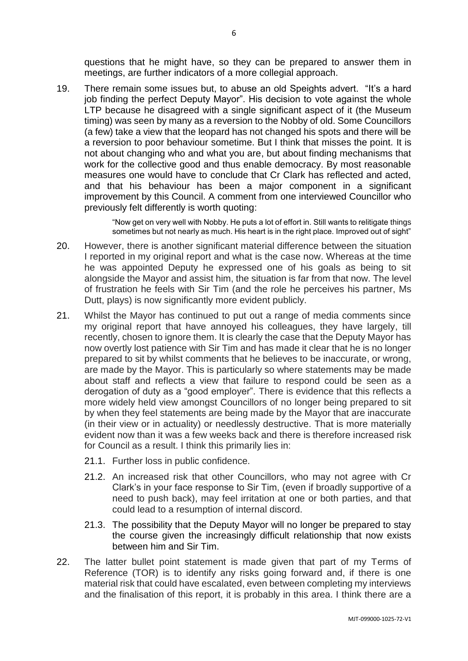questions that he might have, so they can be prepared to answer them in meetings, are further indicators of a more collegial approach.

19. There remain some issues but, to abuse an old Speights advert. "It's a hard job finding the perfect Deputy Mayor". His decision to vote against the whole LTP because he disagreed with a single significant aspect of it (the Museum timing) was seen by many as a reversion to the Nobby of old. Some Councillors (a few) take a view that the leopard has not changed his spots and there will be a reversion to poor behaviour sometime. But I think that misses the point. It is not about changing who and what you are, but about finding mechanisms that work for the collective good and thus enable democracy. By most reasonable measures one would have to conclude that Cr Clark has reflected and acted, and that his behaviour has been a major component in a significant improvement by this Council. A comment from one interviewed Councillor who previously felt differently is worth quoting:

> "Now get on very well with Nobby. He puts a lot of effort in. Still wants to relitigate things sometimes but not nearly as much. His heart is in the right place. Improved out of sight"

- 20. However, there is another significant material difference between the situation I reported in my original report and what is the case now. Whereas at the time he was appointed Deputy he expressed one of his goals as being to sit alongside the Mayor and assist him, the situation is far from that now. The level of frustration he feels with Sir Tim (and the role he perceives his partner, Ms Dutt, plays) is now significantly more evident publicly.
- 21. Whilst the Mayor has continued to put out a range of media comments since my original report that have annoyed his colleagues, they have largely, till recently, chosen to ignore them. It is clearly the case that the Deputy Mayor has now overtly lost patience with Sir Tim and has made it clear that he is no longer prepared to sit by whilst comments that he believes to be inaccurate, or wrong, are made by the Mayor. This is particularly so where statements may be made about staff and reflects a view that failure to respond could be seen as a derogation of duty as a "good employer". There is evidence that this reflects a more widely held view amongst Councillors of no longer being prepared to sit by when they feel statements are being made by the Mayor that are inaccurate (in their view or in actuality) or needlessly destructive. That is more materially evident now than it was a few weeks back and there is therefore increased risk for Council as a result. I think this primarily lies in:
	- 21.1. Further loss in public confidence.
	- 21.2. An increased risk that other Councillors, who may not agree with Cr Clark's in your face response to Sir Tim, (even if broadly supportive of a need to push back), may feel irritation at one or both parties, and that could lead to a resumption of internal discord.
	- 21.3. The possibility that the Deputy Mayor will no longer be prepared to stay the course given the increasingly difficult relationship that now exists between him and Sir Tim.
- 22. The latter bullet point statement is made given that part of my Terms of Reference (TOR) is to identify any risks going forward and, if there is one material risk that could have escalated, even between completing my interviews and the finalisation of this report, it is probably in this area. I think there are a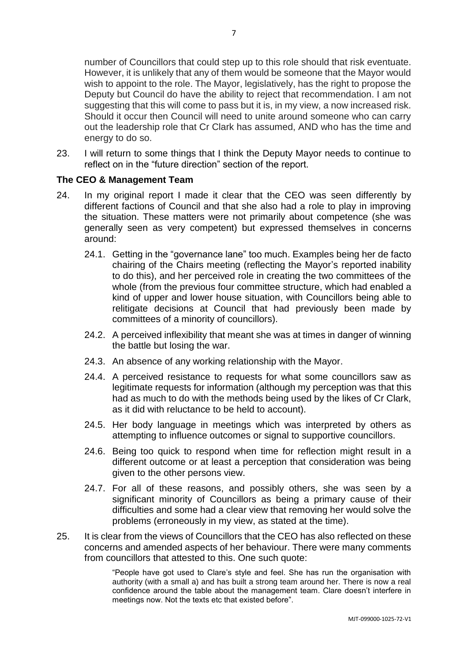number of Councillors that could step up to this role should that risk eventuate. However, it is unlikely that any of them would be someone that the Mayor would wish to appoint to the role. The Mayor, legislatively, has the right to propose the Deputy but Council do have the ability to reject that recommendation. I am not suggesting that this will come to pass but it is, in my view, a now increased risk. Should it occur then Council will need to unite around someone who can carry out the leadership role that Cr Clark has assumed, AND who has the time and energy to do so.

23. I will return to some things that I think the Deputy Mayor needs to continue to reflect on in the "future direction" section of the report.

## **The CEO & Management Team**

- 24. In my original report I made it clear that the CEO was seen differently by different factions of Council and that she also had a role to play in improving the situation. These matters were not primarily about competence (she was generally seen as very competent) but expressed themselves in concerns around:
	- 24.1. Getting in the "governance lane" too much. Examples being her de facto chairing of the Chairs meeting (reflecting the Mayor's reported inability to do this), and her perceived role in creating the two committees of the whole (from the previous four committee structure, which had enabled a kind of upper and lower house situation, with Councillors being able to relitigate decisions at Council that had previously been made by committees of a minority of councillors).
	- 24.2. A perceived inflexibility that meant she was at times in danger of winning the battle but losing the war.
	- 24.3. An absence of any working relationship with the Mayor.
	- 24.4. A perceived resistance to requests for what some councillors saw as legitimate requests for information (although my perception was that this had as much to do with the methods being used by the likes of Cr Clark, as it did with reluctance to be held to account).
	- 24.5. Her body language in meetings which was interpreted by others as attempting to influence outcomes or signal to supportive councillors.
	- 24.6. Being too quick to respond when time for reflection might result in a different outcome or at least a perception that consideration was being given to the other persons view.
	- 24.7. For all of these reasons, and possibly others, she was seen by a significant minority of Councillors as being a primary cause of their difficulties and some had a clear view that removing her would solve the problems (erroneously in my view, as stated at the time).
- 25. It is clear from the views of Councillors that the CEO has also reflected on these concerns and amended aspects of her behaviour. There were many comments from councillors that attested to this. One such quote:

"People have got used to Clare's style and feel. She has run the organisation with authority (with a small a) and has built a strong team around her. There is now a real confidence around the table about the management team. Clare doesn't interfere in meetings now. Not the texts etc that existed before".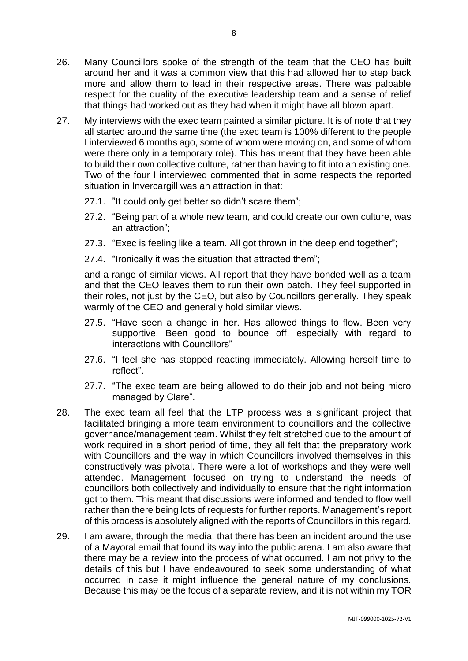- 26. Many Councillors spoke of the strength of the team that the CEO has built around her and it was a common view that this had allowed her to step back more and allow them to lead in their respective areas. There was palpable respect for the quality of the executive leadership team and a sense of relief that things had worked out as they had when it might have all blown apart.
- 27. My interviews with the exec team painted a similar picture. It is of note that they all started around the same time (the exec team is 100% different to the people I interviewed 6 months ago, some of whom were moving on, and some of whom were there only in a temporary role). This has meant that they have been able to build their own collective culture, rather than having to fit into an existing one. Two of the four I interviewed commented that in some respects the reported situation in Invercargill was an attraction in that:
	- 27.1. "It could only get better so didn't scare them";
	- 27.2. "Being part of a whole new team, and could create our own culture, was an attraction";
	- 27.3. "Exec is feeling like a team. All got thrown in the deep end together";
	- 27.4. "Ironically it was the situation that attracted them";

and a range of similar views. All report that they have bonded well as a team and that the CEO leaves them to run their own patch. They feel supported in their roles, not just by the CEO, but also by Councillors generally. They speak warmly of the CEO and generally hold similar views.

- 27.5. "Have seen a change in her. Has allowed things to flow. Been very supportive. Been good to bounce off, especially with regard to interactions with Councillors"
- 27.6. "I feel she has stopped reacting immediately. Allowing herself time to reflect".
- 27.7. "The exec team are being allowed to do their job and not being micro managed by Clare".
- 28. The exec team all feel that the LTP process was a significant project that facilitated bringing a more team environment to councillors and the collective governance/management team. Whilst they felt stretched due to the amount of work required in a short period of time, they all felt that the preparatory work with Councillors and the way in which Councillors involved themselves in this constructively was pivotal. There were a lot of workshops and they were well attended. Management focused on trying to understand the needs of councillors both collectively and individually to ensure that the right information got to them. This meant that discussions were informed and tended to flow well rather than there being lots of requests for further reports. Management's report of this process is absolutely aligned with the reports of Councillors in this regard.
- 29. I am aware, through the media, that there has been an incident around the use of a Mayoral email that found its way into the public arena. I am also aware that there may be a review into the process of what occurred. I am not privy to the details of this but I have endeavoured to seek some understanding of what occurred in case it might influence the general nature of my conclusions. Because this may be the focus of a separate review, and it is not within my TOR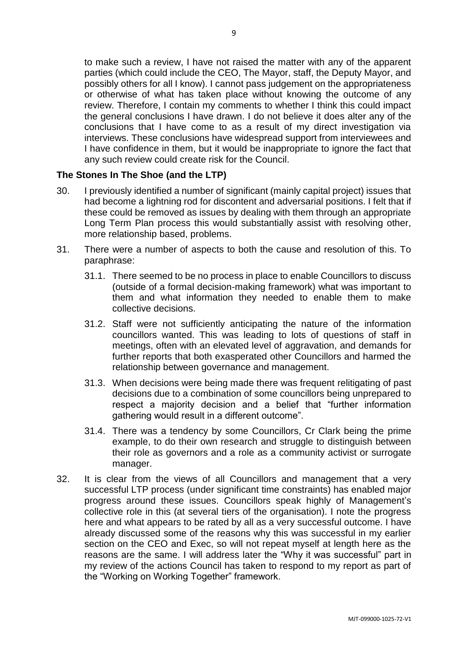to make such a review, I have not raised the matter with any of the apparent parties (which could include the CEO, The Mayor, staff, the Deputy Mayor, and possibly others for all I know). I cannot pass judgement on the appropriateness or otherwise of what has taken place without knowing the outcome of any review. Therefore, I contain my comments to whether I think this could impact the general conclusions I have drawn. I do not believe it does alter any of the conclusions that I have come to as a result of my direct investigation via interviews. These conclusions have widespread support from interviewees and I have confidence in them, but it would be inappropriate to ignore the fact that any such review could create risk for the Council.

## **The Stones In The Shoe (and the LTP)**

- 30. I previously identified a number of significant (mainly capital project) issues that had become a lightning rod for discontent and adversarial positions. I felt that if these could be removed as issues by dealing with them through an appropriate Long Term Plan process this would substantially assist with resolving other, more relationship based, problems.
- 31. There were a number of aspects to both the cause and resolution of this. To paraphrase:
	- 31.1. There seemed to be no process in place to enable Councillors to discuss (outside of a formal decision-making framework) what was important to them and what information they needed to enable them to make collective decisions.
	- 31.2. Staff were not sufficiently anticipating the nature of the information councillors wanted. This was leading to lots of questions of staff in meetings, often with an elevated level of aggravation, and demands for further reports that both exasperated other Councillors and harmed the relationship between governance and management.
	- 31.3. When decisions were being made there was frequent relitigating of past decisions due to a combination of some councillors being unprepared to respect a majority decision and a belief that "further information gathering would result in a different outcome".
	- 31.4. There was a tendency by some Councillors, Cr Clark being the prime example, to do their own research and struggle to distinguish between their role as governors and a role as a community activist or surrogate manager.
- 32. It is clear from the views of all Councillors and management that a very successful LTP process (under significant time constraints) has enabled major progress around these issues. Councillors speak highly of Management's collective role in this (at several tiers of the organisation). I note the progress here and what appears to be rated by all as a very successful outcome. I have already discussed some of the reasons why this was successful in my earlier section on the CEO and Exec, so will not repeat myself at length here as the reasons are the same. I will address later the "Why it was successful" part in my review of the actions Council has taken to respond to my report as part of the "Working on Working Together" framework.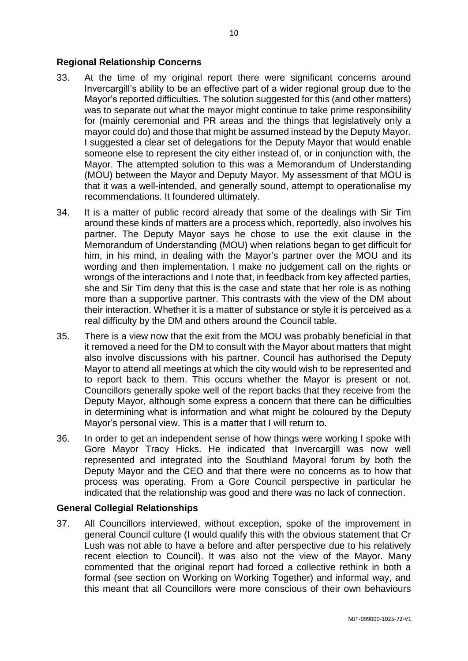#### **Regional Relationship Concerns**

- 33. At the time of my original report there were significant concerns around Invercargill's ability to be an effective part of a wider regional group due to the Mayor's reported difficulties. The solution suggested for this (and other matters) was to separate out what the mayor might continue to take prime responsibility for (mainly ceremonial and PR areas and the things that legislatively only a mayor could do) and those that might be assumed instead by the Deputy Mayor. I suggested a clear set of delegations for the Deputy Mayor that would enable someone else to represent the city either instead of, or in conjunction with, the Mayor. The attempted solution to this was a Memorandum of Understanding (MOU) between the Mayor and Deputy Mayor. My assessment of that MOU is that it was a well-intended, and generally sound, attempt to operationalise my recommendations. It foundered ultimately.
- 34. It is a matter of public record already that some of the dealings with Sir Tim around these kinds of matters are a process which, reportedly, also involves his partner. The Deputy Mayor says he chose to use the exit clause in the Memorandum of Understanding (MOU) when relations began to get difficult for him, in his mind, in dealing with the Mayor's partner over the MOU and its wording and then implementation. I make no judgement call on the rights or wrongs of the interactions and I note that, in feedback from key affected parties, she and Sir Tim deny that this is the case and state that her role is as nothing more than a supportive partner. This contrasts with the view of the DM about their interaction. Whether it is a matter of substance or style it is perceived as a real difficulty by the DM and others around the Council table.
- 35. There is a view now that the exit from the MOU was probably beneficial in that it removed a need for the DM to consult with the Mayor about matters that might also involve discussions with his partner. Council has authorised the Deputy Mayor to attend all meetings at which the city would wish to be represented and to report back to them. This occurs whether the Mayor is present or not. Councillors generally spoke well of the report backs that they receive from the Deputy Mayor, although some express a concern that there can be difficulties in determining what is information and what might be coloured by the Deputy Mayor's personal view. This is a matter that I will return to.
- 36. In order to get an independent sense of how things were working I spoke with Gore Mayor Tracy Hicks. He indicated that Invercargill was now well represented and integrated into the Southland Mayoral forum by both the Deputy Mayor and the CEO and that there were no concerns as to how that process was operating. From a Gore Council perspective in particular he indicated that the relationship was good and there was no lack of connection.

#### **General Collegial Relationships**

37. All Councillors interviewed, without exception, spoke of the improvement in general Council culture (I would qualify this with the obvious statement that Cr Lush was not able to have a before and after perspective due to his relatively recent election to Council). It was also not the view of the Mayor. Many commented that the original report had forced a collective rethink in both a formal (see section on Working on Working Together) and informal way, and this meant that all Councillors were more conscious of their own behaviours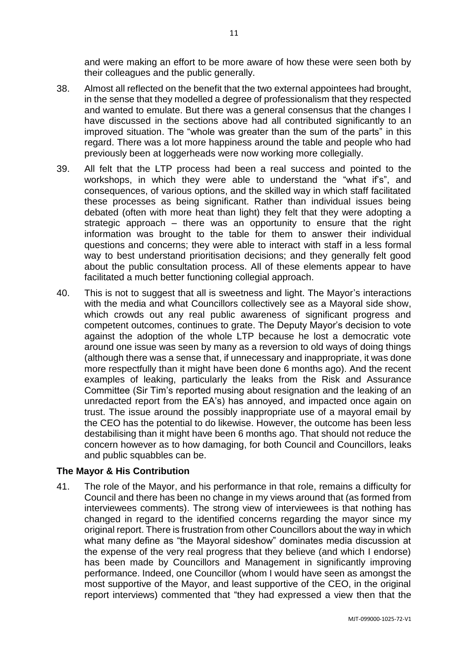and were making an effort to be more aware of how these were seen both by their colleagues and the public generally.

- 38. Almost all reflected on the benefit that the two external appointees had brought, in the sense that they modelled a degree of professionalism that they respected and wanted to emulate. But there was a general consensus that the changes I have discussed in the sections above had all contributed significantly to an improved situation. The "whole was greater than the sum of the parts" in this regard. There was a lot more happiness around the table and people who had previously been at loggerheads were now working more collegially.
- 39. All felt that the LTP process had been a real success and pointed to the workshops, in which they were able to understand the "what if's", and consequences, of various options, and the skilled way in which staff facilitated these processes as being significant. Rather than individual issues being debated (often with more heat than light) they felt that they were adopting a strategic approach – there was an opportunity to ensure that the right information was brought to the table for them to answer their individual questions and concerns; they were able to interact with staff in a less formal way to best understand prioritisation decisions; and they generally felt good about the public consultation process. All of these elements appear to have facilitated a much better functioning collegial approach.
- 40. This is not to suggest that all is sweetness and light. The Mayor's interactions with the media and what Councillors collectively see as a Mayoral side show, which crowds out any real public awareness of significant progress and competent outcomes, continues to grate. The Deputy Mayor's decision to vote against the adoption of the whole LTP because he lost a democratic vote around one issue was seen by many as a reversion to old ways of doing things (although there was a sense that, if unnecessary and inappropriate, it was done more respectfully than it might have been done 6 months ago). And the recent examples of leaking, particularly the leaks from the Risk and Assurance Committee (Sir Tim's reported musing about resignation and the leaking of an unredacted report from the EA's) has annoyed, and impacted once again on trust. The issue around the possibly inappropriate use of a mayoral email by the CEO has the potential to do likewise. However, the outcome has been less destabilising than it might have been 6 months ago. That should not reduce the concern however as to how damaging, for both Council and Councillors, leaks and public squabbles can be.

## **The Mayor & His Contribution**

41. The role of the Mayor, and his performance in that role, remains a difficulty for Council and there has been no change in my views around that (as formed from interviewees comments). The strong view of interviewees is that nothing has changed in regard to the identified concerns regarding the mayor since my original report. There is frustration from other Councillors about the way in which what many define as "the Mayoral sideshow" dominates media discussion at the expense of the very real progress that they believe (and which I endorse) has been made by Councillors and Management in significantly improving performance. Indeed, one Councillor (whom I would have seen as amongst the most supportive of the Mayor, and least supportive of the CEO, in the original report interviews) commented that "they had expressed a view then that the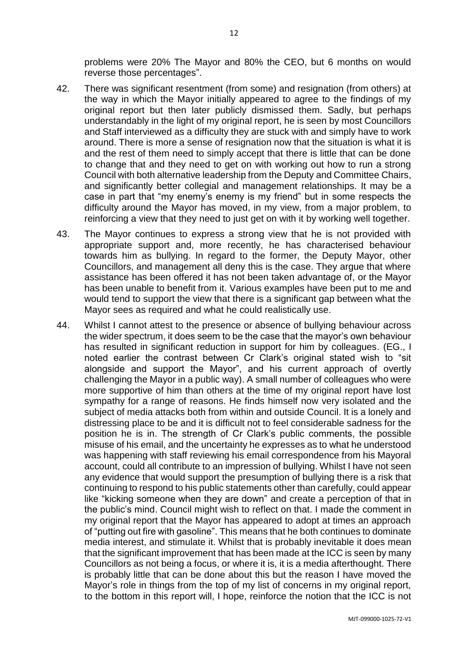problems were 20% The Mayor and 80% the CEO, but 6 months on would reverse those percentages".

- 42. There was significant resentment (from some) and resignation (from others) at the way in which the Mayor initially appeared to agree to the findings of my original report but then later publicly dismissed them. Sadly, but perhaps understandably in the light of my original report, he is seen by most Councillors and Staff interviewed as a difficulty they are stuck with and simply have to work around. There is more a sense of resignation now that the situation is what it is and the rest of them need to simply accept that there is little that can be done to change that and they need to get on with working out how to run a strong Council with both alternative leadership from the Deputy and Committee Chairs, and significantly better collegial and management relationships. It may be a case in part that "my enemy's enemy is my friend" but in some respects the difficulty around the Mayor has moved, in my view, from a major problem, to reinforcing a view that they need to just get on with it by working well together.
- 43. The Mayor continues to express a strong view that he is not provided with appropriate support and, more recently, he has characterised behaviour towards him as bullying. In regard to the former, the Deputy Mayor, other Councillors, and management all deny this is the case. They argue that where assistance has been offered it has not been taken advantage of, or the Mayor has been unable to benefit from it. Various examples have been put to me and would tend to support the view that there is a significant gap between what the Mayor sees as required and what he could realistically use.
- 44. Whilst I cannot attest to the presence or absence of bullying behaviour across the wider spectrum, it does seem to be the case that the mayor's own behaviour has resulted in significant reduction in support for him by colleagues. (EG., I noted earlier the contrast between Cr Clark's original stated wish to "sit alongside and support the Mayor", and his current approach of overtly challenging the Mayor in a public way). A small number of colleagues who were more supportive of him than others at the time of my original report have lost sympathy for a range of reasons. He finds himself now very isolated and the subject of media attacks both from within and outside Council. It is a lonely and distressing place to be and it is difficult not to feel considerable sadness for the position he is in. The strength of Cr Clark's public comments, the possible misuse of his email, and the uncertainty he expresses as to what he understood was happening with staff reviewing his email correspondence from his Mayoral account, could all contribute to an impression of bullying. Whilst I have not seen any evidence that would support the presumption of bullying there is a risk that continuing to respond to his public statements other than carefully, could appear like "kicking someone when they are down" and create a perception of that in the public's mind. Council might wish to reflect on that. I made the comment in my original report that the Mayor has appeared to adopt at times an approach of "putting out fire with gasoline". This means that he both continues to dominate media interest, and stimulate it. Whilst that is probably inevitable it does mean that the significant improvement that has been made at the ICC is seen by many Councillors as not being a focus, or where it is, it is a media afterthought. There is probably little that can be done about this but the reason I have moved the Mayor's role in things from the top of my list of concerns in my original report, to the bottom in this report will, I hope, reinforce the notion that the ICC is not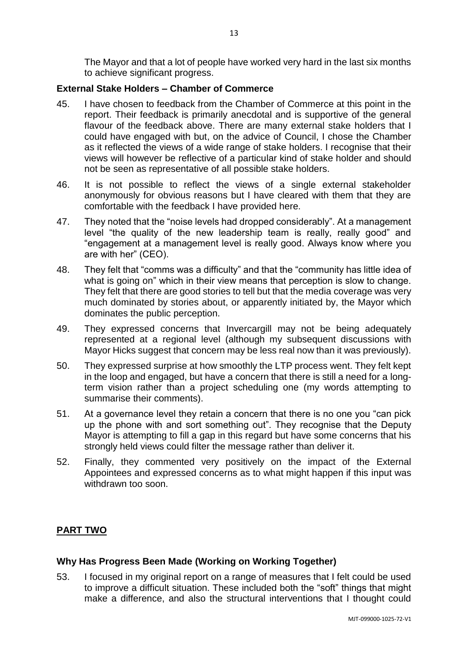The Mayor and that a lot of people have worked very hard in the last six months to achieve significant progress.

# **External Stake Holders – Chamber of Commerce**

- 45. I have chosen to feedback from the Chamber of Commerce at this point in the report. Their feedback is primarily anecdotal and is supportive of the general flavour of the feedback above. There are many external stake holders that I could have engaged with but, on the advice of Council, I chose the Chamber as it reflected the views of a wide range of stake holders. I recognise that their views will however be reflective of a particular kind of stake holder and should not be seen as representative of all possible stake holders.
- 46. It is not possible to reflect the views of a single external stakeholder anonymously for obvious reasons but I have cleared with them that they are comfortable with the feedback I have provided here.
- 47. They noted that the "noise levels had dropped considerably". At a management level "the quality of the new leadership team is really, really good" and "engagement at a management level is really good. Always know where you are with her" (CEO).
- 48. They felt that "comms was a difficulty" and that the "community has little idea of what is going on" which in their view means that perception is slow to change. They felt that there are good stories to tell but that the media coverage was very much dominated by stories about, or apparently initiated by, the Mayor which dominates the public perception.
- 49. They expressed concerns that Invercargill may not be being adequately represented at a regional level (although my subsequent discussions with Mayor Hicks suggest that concern may be less real now than it was previously).
- 50. They expressed surprise at how smoothly the LTP process went. They felt kept in the loop and engaged, but have a concern that there is still a need for a longterm vision rather than a project scheduling one (my words attempting to summarise their comments).
- 51. At a governance level they retain a concern that there is no one you "can pick up the phone with and sort something out". They recognise that the Deputy Mayor is attempting to fill a gap in this regard but have some concerns that his strongly held views could filter the message rather than deliver it.
- 52. Finally, they commented very positively on the impact of the External Appointees and expressed concerns as to what might happen if this input was withdrawn too soon.

# **PART TWO**

# **Why Has Progress Been Made (Working on Working Together)**

53. I focused in my original report on a range of measures that I felt could be used to improve a difficult situation. These included both the "soft" things that might make a difference, and also the structural interventions that I thought could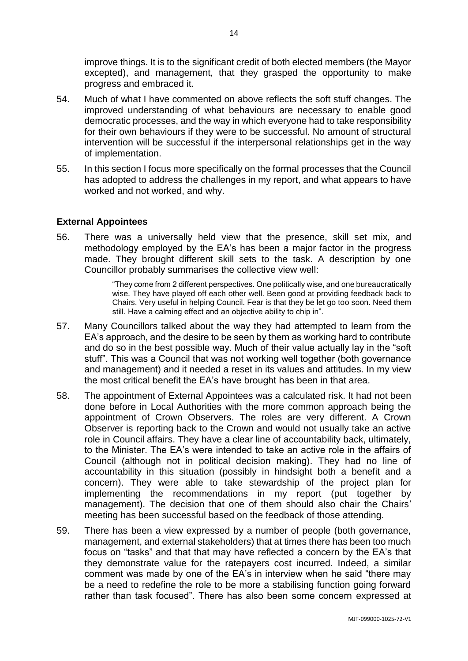improve things. It is to the significant credit of both elected members (the Mayor excepted), and management, that they grasped the opportunity to make progress and embraced it.

- 54. Much of what I have commented on above reflects the soft stuff changes. The improved understanding of what behaviours are necessary to enable good democratic processes, and the way in which everyone had to take responsibility for their own behaviours if they were to be successful. No amount of structural intervention will be successful if the interpersonal relationships get in the way of implementation.
- 55. In this section I focus more specifically on the formal processes that the Council has adopted to address the challenges in my report, and what appears to have worked and not worked, and why.

#### **External Appointees**

56. There was a universally held view that the presence, skill set mix, and methodology employed by the EA's has been a major factor in the progress made. They brought different skill sets to the task. A description by one Councillor probably summarises the collective view well:

> "They come from 2 different perspectives. One politically wise, and one bureaucratically wise. They have played off each other well. Been good at providing feedback back to Chairs. Very useful in helping Council. Fear is that they be let go too soon. Need them still. Have a calming effect and an objective ability to chip in".

- 57. Many Councillors talked about the way they had attempted to learn from the EA's approach, and the desire to be seen by them as working hard to contribute and do so in the best possible way. Much of their value actually lay in the "soft stuff". This was a Council that was not working well together (both governance and management) and it needed a reset in its values and attitudes. In my view the most critical benefit the EA's have brought has been in that area.
- 58. The appointment of External Appointees was a calculated risk. It had not been done before in Local Authorities with the more common approach being the appointment of Crown Observers. The roles are very different. A Crown Observer is reporting back to the Crown and would not usually take an active role in Council affairs. They have a clear line of accountability back, ultimately, to the Minister. The EA's were intended to take an active role in the affairs of Council (although not in political decision making). They had no line of accountability in this situation (possibly in hindsight both a benefit and a concern). They were able to take stewardship of the project plan for implementing the recommendations in my report (put together by management). The decision that one of them should also chair the Chairs' meeting has been successful based on the feedback of those attending.
- 59. There has been a view expressed by a number of people (both governance, management, and external stakeholders) that at times there has been too much focus on "tasks" and that that may have reflected a concern by the EA's that they demonstrate value for the ratepayers cost incurred. Indeed, a similar comment was made by one of the EA's in interview when he said "there may be a need to redefine the role to be more a stabilising function going forward rather than task focused". There has also been some concern expressed at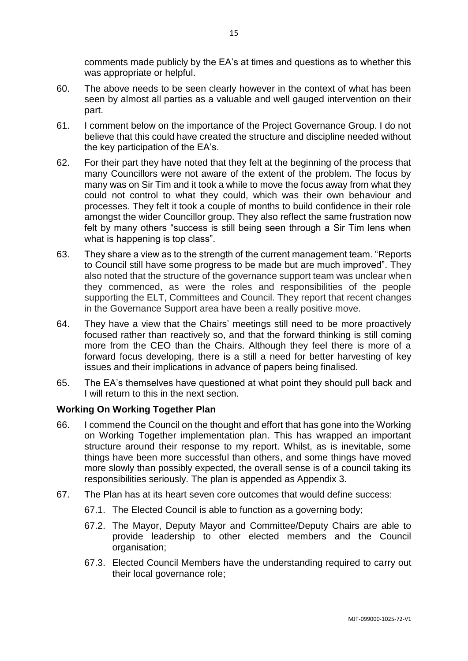comments made publicly by the EA's at times and questions as to whether this was appropriate or helpful.

- 60. The above needs to be seen clearly however in the context of what has been seen by almost all parties as a valuable and well gauged intervention on their part.
- 61. I comment below on the importance of the Project Governance Group. I do not believe that this could have created the structure and discipline needed without the key participation of the EA's.
- 62. For their part they have noted that they felt at the beginning of the process that many Councillors were not aware of the extent of the problem. The focus by many was on Sir Tim and it took a while to move the focus away from what they could not control to what they could, which was their own behaviour and processes. They felt it took a couple of months to build confidence in their role amongst the wider Councillor group. They also reflect the same frustration now felt by many others "success is still being seen through a Sir Tim lens when what is happening is top class".
- 63. They share a view as to the strength of the current management team. "Reports to Council still have some progress to be made but are much improved". They also noted that the structure of the governance support team was unclear when they commenced, as were the roles and responsibilities of the people supporting the ELT, Committees and Council. They report that recent changes in the Governance Support area have been a really positive move.
- 64. They have a view that the Chairs' meetings still need to be more proactively focused rather than reactively so, and that the forward thinking is still coming more from the CEO than the Chairs. Although they feel there is more of a forward focus developing, there is a still a need for better harvesting of key issues and their implications in advance of papers being finalised.
- 65. The EA's themselves have questioned at what point they should pull back and I will return to this in the next section.

## **Working On Working Together Plan**

- 66. I commend the Council on the thought and effort that has gone into the Working on Working Together implementation plan. This has wrapped an important structure around their response to my report. Whilst, as is inevitable, some things have been more successful than others, and some things have moved more slowly than possibly expected, the overall sense is of a council taking its responsibilities seriously. The plan is appended as Appendix 3.
- 67. The Plan has at its heart seven core outcomes that would define success:
	- 67.1. The Elected Council is able to function as a governing body;
	- 67.2. The Mayor, Deputy Mayor and Committee/Deputy Chairs are able to provide leadership to other elected members and the Council organisation;
	- 67.3. Elected Council Members have the understanding required to carry out their local governance role;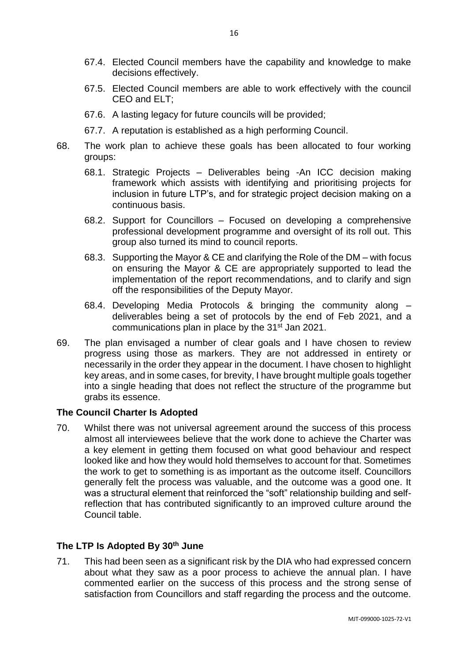- 67.4. Elected Council members have the capability and knowledge to make decisions effectively.
- 67.5. Elected Council members are able to work effectively with the council CEO and ELT;
- 67.6. A lasting legacy for future councils will be provided;
- 67.7. A reputation is established as a high performing Council.
- 68. The work plan to achieve these goals has been allocated to four working groups:
	- 68.1. Strategic Projects Deliverables being -An ICC decision making framework which assists with identifying and prioritising projects for inclusion in future LTP's, and for strategic project decision making on a continuous basis.
	- 68.2. Support for Councillors Focused on developing a comprehensive professional development programme and oversight of its roll out. This group also turned its mind to council reports.
	- 68.3. Supporting the Mayor & CE and clarifying the Role of the DM with focus on ensuring the Mayor & CE are appropriately supported to lead the implementation of the report recommendations, and to clarify and sign off the responsibilities of the Deputy Mayor.
	- 68.4. Developing Media Protocols & bringing the community along deliverables being a set of protocols by the end of Feb 2021, and a communications plan in place by the 31<sup>st</sup> Jan 2021.
- 69. The plan envisaged a number of clear goals and I have chosen to review progress using those as markers. They are not addressed in entirety or necessarily in the order they appear in the document. I have chosen to highlight key areas, and in some cases, for brevity, I have brought multiple goals together into a single heading that does not reflect the structure of the programme but grabs its essence.

## **The Council Charter Is Adopted**

70. Whilst there was not universal agreement around the success of this process almost all interviewees believe that the work done to achieve the Charter was a key element in getting them focused on what good behaviour and respect looked like and how they would hold themselves to account for that. Sometimes the work to get to something is as important as the outcome itself. Councillors generally felt the process was valuable, and the outcome was a good one. It was a structural element that reinforced the "soft" relationship building and selfreflection that has contributed significantly to an improved culture around the Council table.

## **The LTP Is Adopted By 30th June**

71. This had been seen as a significant risk by the DIA who had expressed concern about what they saw as a poor process to achieve the annual plan. I have commented earlier on the success of this process and the strong sense of satisfaction from Councillors and staff regarding the process and the outcome.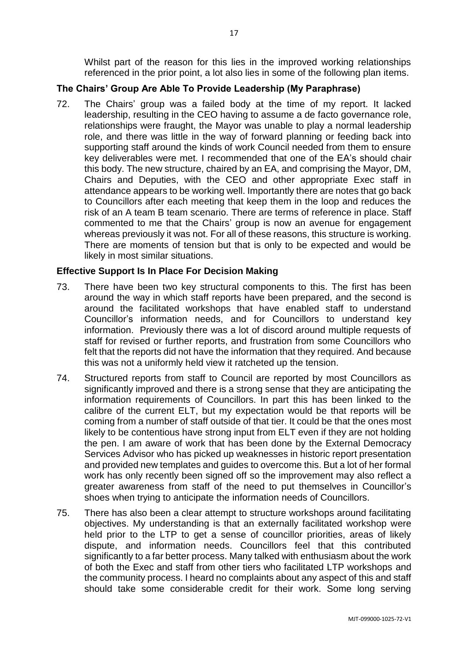Whilst part of the reason for this lies in the improved working relationships referenced in the prior point, a lot also lies in some of the following plan items.

# **The Chairs' Group Are Able To Provide Leadership (My Paraphrase)**

72. The Chairs' group was a failed body at the time of my report. It lacked leadership, resulting in the CEO having to assume a de facto governance role, relationships were fraught, the Mayor was unable to play a normal leadership role, and there was little in the way of forward planning or feeding back into supporting staff around the kinds of work Council needed from them to ensure key deliverables were met. I recommended that one of the EA's should chair this body. The new structure, chaired by an EA, and comprising the Mayor, DM, Chairs and Deputies, with the CEO and other appropriate Exec staff in attendance appears to be working well. Importantly there are notes that go back to Councillors after each meeting that keep them in the loop and reduces the risk of an A team B team scenario. There are terms of reference in place. Staff commented to me that the Chairs' group is now an avenue for engagement whereas previously it was not. For all of these reasons, this structure is working. There are moments of tension but that is only to be expected and would be likely in most similar situations.

## **Effective Support Is In Place For Decision Making**

- 73. There have been two key structural components to this. The first has been around the way in which staff reports have been prepared, and the second is around the facilitated workshops that have enabled staff to understand Councillor's information needs, and for Councillors to understand key information. Previously there was a lot of discord around multiple requests of staff for revised or further reports, and frustration from some Councillors who felt that the reports did not have the information that they required. And because this was not a uniformly held view it ratcheted up the tension.
- 74. Structured reports from staff to Council are reported by most Councillors as significantly improved and there is a strong sense that they are anticipating the information requirements of Councillors. In part this has been linked to the calibre of the current ELT, but my expectation would be that reports will be coming from a number of staff outside of that tier. It could be that the ones most likely to be contentious have strong input from ELT even if they are not holding the pen. I am aware of work that has been done by the External Democracy Services Advisor who has picked up weaknesses in historic report presentation and provided new templates and guides to overcome this. But a lot of her formal work has only recently been signed off so the improvement may also reflect a greater awareness from staff of the need to put themselves in Councillor's shoes when trying to anticipate the information needs of Councillors.
- 75. There has also been a clear attempt to structure workshops around facilitating objectives. My understanding is that an externally facilitated workshop were held prior to the LTP to get a sense of councillor priorities, areas of likely dispute, and information needs. Councillors feel that this contributed significantly to a far better process. Many talked with enthusiasm about the work of both the Exec and staff from other tiers who facilitated LTP workshops and the community process. I heard no complaints about any aspect of this and staff should take some considerable credit for their work. Some long serving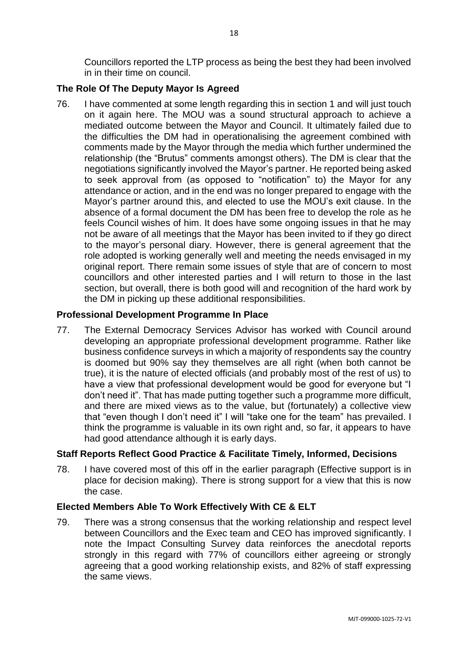Councillors reported the LTP process as being the best they had been involved in in their time on council.

# **The Role Of The Deputy Mayor Is Agreed**

76. I have commented at some length regarding this in section 1 and will just touch on it again here. The MOU was a sound structural approach to achieve a mediated outcome between the Mayor and Council. It ultimately failed due to the difficulties the DM had in operationalising the agreement combined with comments made by the Mayor through the media which further undermined the relationship (the "Brutus" comments amongst others). The DM is clear that the negotiations significantly involved the Mayor's partner. He reported being asked to seek approval from (as opposed to "notification" to) the Mayor for any attendance or action, and in the end was no longer prepared to engage with the Mayor's partner around this, and elected to use the MOU's exit clause. In the absence of a formal document the DM has been free to develop the role as he feels Council wishes of him. It does have some ongoing issues in that he may not be aware of all meetings that the Mayor has been invited to if they go direct to the mayor's personal diary. However, there is general agreement that the role adopted is working generally well and meeting the needs envisaged in my original report. There remain some issues of style that are of concern to most councillors and other interested parties and I will return to those in the last section, but overall, there is both good will and recognition of the hard work by the DM in picking up these additional responsibilities.

#### **Professional Development Programme In Place**

77. The External Democracy Services Advisor has worked with Council around developing an appropriate professional development programme. Rather like business confidence surveys in which a majority of respondents say the country is doomed but 90% say they themselves are all right (when both cannot be true), it is the nature of elected officials (and probably most of the rest of us) to have a view that professional development would be good for everyone but "I don't need it". That has made putting together such a programme more difficult, and there are mixed views as to the value, but (fortunately) a collective view that "even though I don't need it" I will "take one for the team" has prevailed. I think the programme is valuable in its own right and, so far, it appears to have had good attendance although it is early days.

## **Staff Reports Reflect Good Practice & Facilitate Timely, Informed, Decisions**

78. I have covered most of this off in the earlier paragraph (Effective support is in place for decision making). There is strong support for a view that this is now the case.

## **Elected Members Able To Work Effectively With CE & ELT**

79. There was a strong consensus that the working relationship and respect level between Councillors and the Exec team and CEO has improved significantly. I note the Impact Consulting Survey data reinforces the anecdotal reports strongly in this regard with 77% of councillors either agreeing or strongly agreeing that a good working relationship exists, and 82% of staff expressing the same views.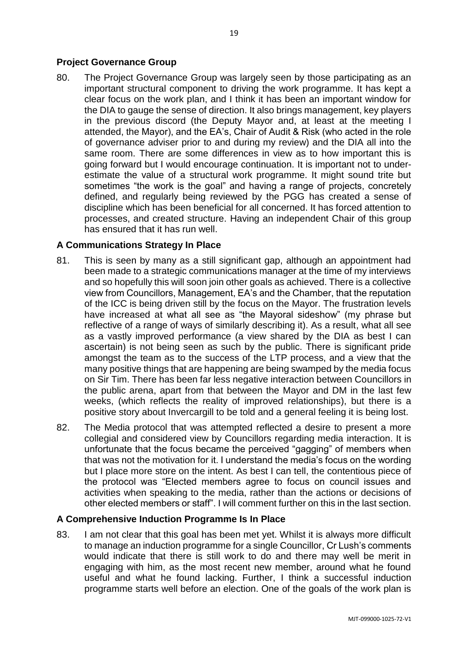#### **Project Governance Group**

80. The Project Governance Group was largely seen by those participating as an important structural component to driving the work programme. It has kept a clear focus on the work plan, and I think it has been an important window for the DIA to gauge the sense of direction. It also brings management, key players in the previous discord (the Deputy Mayor and, at least at the meeting I attended, the Mayor), and the EA's, Chair of Audit & Risk (who acted in the role of governance adviser prior to and during my review) and the DIA all into the same room. There are some differences in view as to how important this is going forward but I would encourage continuation. It is important not to underestimate the value of a structural work programme. It might sound trite but sometimes "the work is the goal" and having a range of projects, concretely defined, and regularly being reviewed by the PGG has created a sense of discipline which has been beneficial for all concerned. It has forced attention to processes, and created structure. Having an independent Chair of this group has ensured that it has run well.

#### **A Communications Strategy In Place**

- 81. This is seen by many as a still significant gap, although an appointment had been made to a strategic communications manager at the time of my interviews and so hopefully this will soon join other goals as achieved. There is a collective view from Councillors, Management, EA's and the Chamber, that the reputation of the ICC is being driven still by the focus on the Mayor. The frustration levels have increased at what all see as "the Mayoral sideshow" (my phrase but reflective of a range of ways of similarly describing it). As a result, what all see as a vastly improved performance (a view shared by the DIA as best I can ascertain) is not being seen as such by the public. There is significant pride amongst the team as to the success of the LTP process, and a view that the many positive things that are happening are being swamped by the media focus on Sir Tim. There has been far less negative interaction between Councillors in the public arena, apart from that between the Mayor and DM in the last few weeks, (which reflects the reality of improved relationships), but there is a positive story about Invercargill to be told and a general feeling it is being lost.
- 82. The Media protocol that was attempted reflected a desire to present a more collegial and considered view by Councillors regarding media interaction. It is unfortunate that the focus became the perceived "gagging" of members when that was not the motivation for it. I understand the media's focus on the wording but I place more store on the intent. As best I can tell, the contentious piece of the protocol was "Elected members agree to focus on council issues and activities when speaking to the media, rather than the actions or decisions of other elected members or staff". I will comment further on this in the last section.

#### **A Comprehensive Induction Programme Is In Place**

83. I am not clear that this goal has been met yet. Whilst it is always more difficult to manage an induction programme for a single Councillor, Cr Lush's comments would indicate that there is still work to do and there may well be merit in engaging with him, as the most recent new member, around what he found useful and what he found lacking. Further, I think a successful induction programme starts well before an election. One of the goals of the work plan is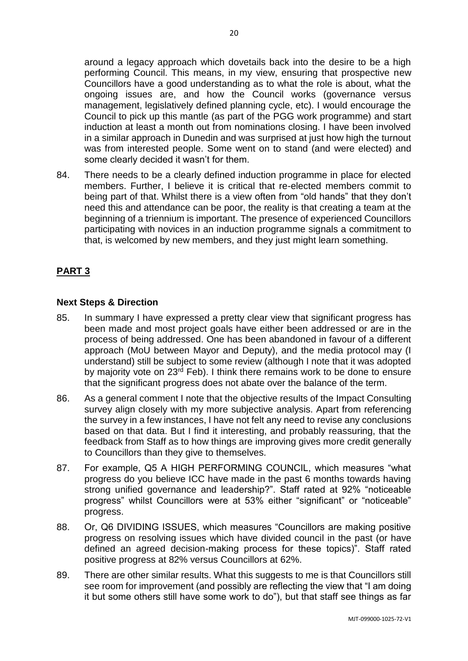around a legacy approach which dovetails back into the desire to be a high performing Council. This means, in my view, ensuring that prospective new Councillors have a good understanding as to what the role is about, what the ongoing issues are, and how the Council works (governance versus management, legislatively defined planning cycle, etc). I would encourage the Council to pick up this mantle (as part of the PGG work programme) and start induction at least a month out from nominations closing. I have been involved in a similar approach in Dunedin and was surprised at just how high the turnout was from interested people. Some went on to stand (and were elected) and some clearly decided it wasn't for them.

84. There needs to be a clearly defined induction programme in place for elected members. Further, I believe it is critical that re-elected members commit to being part of that. Whilst there is a view often from "old hands" that they don't need this and attendance can be poor, the reality is that creating a team at the beginning of a triennium is important. The presence of experienced Councillors participating with novices in an induction programme signals a commitment to that, is welcomed by new members, and they just might learn something.

# **PART 3**

#### **Next Steps & Direction**

- 85. In summary I have expressed a pretty clear view that significant progress has been made and most project goals have either been addressed or are in the process of being addressed. One has been abandoned in favour of a different approach (MoU between Mayor and Deputy), and the media protocol may (I understand) still be subject to some review (although I note that it was adopted by majority vote on 23<sup>rd</sup> Feb). I think there remains work to be done to ensure that the significant progress does not abate over the balance of the term.
- 86. As a general comment I note that the objective results of the Impact Consulting survey align closely with my more subjective analysis. Apart from referencing the survey in a few instances, I have not felt any need to revise any conclusions based on that data. But I find it interesting, and probably reassuring, that the feedback from Staff as to how things are improving gives more credit generally to Councillors than they give to themselves.
- 87. For example, Q5 A HIGH PERFORMING COUNCIL, which measures "what progress do you believe ICC have made in the past 6 months towards having strong unified governance and leadership?". Staff rated at 92% "noticeable progress" whilst Councillors were at 53% either "significant" or "noticeable" progress.
- 88. Or, Q6 DIVIDING ISSUES, which measures "Councillors are making positive progress on resolving issues which have divided council in the past (or have defined an agreed decision-making process for these topics)". Staff rated positive progress at 82% versus Councillors at 62%.
- 89. There are other similar results. What this suggests to me is that Councillors still see room for improvement (and possibly are reflecting the view that "I am doing it but some others still have some work to do"), but that staff see things as far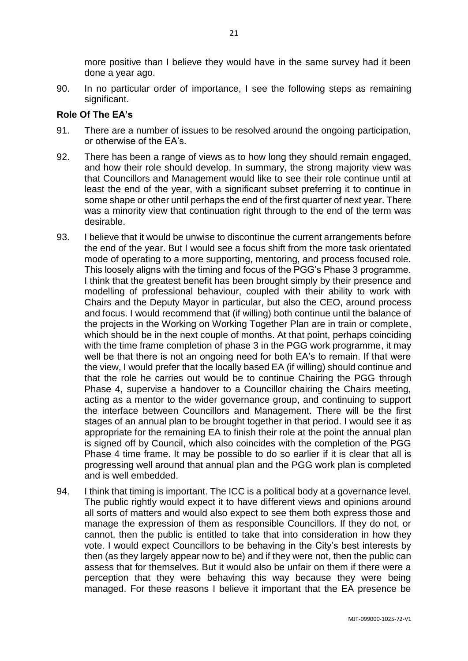more positive than I believe they would have in the same survey had it been done a year ago.

90. In no particular order of importance, I see the following steps as remaining significant.

# **Role Of The EA's**

- 91. There are a number of issues to be resolved around the ongoing participation, or otherwise of the EA's.
- 92. There has been a range of views as to how long they should remain engaged, and how their role should develop. In summary, the strong majority view was that Councillors and Management would like to see their role continue until at least the end of the year, with a significant subset preferring it to continue in some shape or other until perhaps the end of the first quarter of next year. There was a minority view that continuation right through to the end of the term was desirable.
- 93. I believe that it would be unwise to discontinue the current arrangements before the end of the year. But I would see a focus shift from the more task orientated mode of operating to a more supporting, mentoring, and process focused role. This loosely aligns with the timing and focus of the PGG's Phase 3 programme. I think that the greatest benefit has been brought simply by their presence and modelling of professional behaviour, coupled with their ability to work with Chairs and the Deputy Mayor in particular, but also the CEO, around process and focus. I would recommend that (if willing) both continue until the balance of the projects in the Working on Working Together Plan are in train or complete, which should be in the next couple of months. At that point, perhaps coinciding with the time frame completion of phase 3 in the PGG work programme, it may well be that there is not an ongoing need for both EA's to remain. If that were the view, I would prefer that the locally based EA (if willing) should continue and that the role he carries out would be to continue Chairing the PGG through Phase 4, supervise a handover to a Councillor chairing the Chairs meeting, acting as a mentor to the wider governance group, and continuing to support the interface between Councillors and Management. There will be the first stages of an annual plan to be brought together in that period. I would see it as appropriate for the remaining EA to finish their role at the point the annual plan is signed off by Council, which also coincides with the completion of the PGG Phase 4 time frame. It may be possible to do so earlier if it is clear that all is progressing well around that annual plan and the PGG work plan is completed and is well embedded.
- 94. I think that timing is important. The ICC is a political body at a governance level. The public rightly would expect it to have different views and opinions around all sorts of matters and would also expect to see them both express those and manage the expression of them as responsible Councillors. If they do not, or cannot, then the public is entitled to take that into consideration in how they vote. I would expect Councillors to be behaving in the City's best interests by then (as they largely appear now to be) and if they were not, then the public can assess that for themselves. But it would also be unfair on them if there were a perception that they were behaving this way because they were being managed. For these reasons I believe it important that the EA presence be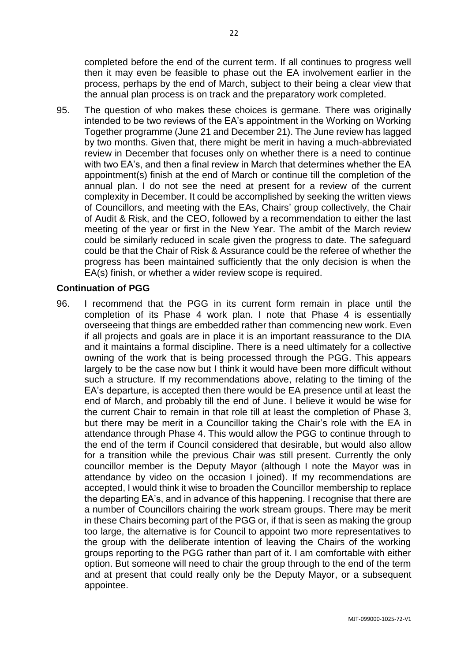completed before the end of the current term. If all continues to progress well then it may even be feasible to phase out the EA involvement earlier in the process, perhaps by the end of March, subject to their being a clear view that the annual plan process is on track and the preparatory work completed.

95. The question of who makes these choices is germane. There was originally intended to be two reviews of the EA's appointment in the Working on Working Together programme (June 21 and December 21). The June review has lagged by two months. Given that, there might be merit in having a much-abbreviated review in December that focuses only on whether there is a need to continue with two EA's, and then a final review in March that determines whether the EA appointment(s) finish at the end of March or continue till the completion of the annual plan. I do not see the need at present for a review of the current complexity in December. It could be accomplished by seeking the written views of Councillors, and meeting with the EAs, Chairs' group collectively, the Chair of Audit & Risk, and the CEO, followed by a recommendation to either the last meeting of the year or first in the New Year. The ambit of the March review could be similarly reduced in scale given the progress to date. The safeguard could be that the Chair of Risk & Assurance could be the referee of whether the progress has been maintained sufficiently that the only decision is when the EA(s) finish, or whether a wider review scope is required.

## **Continuation of PGG**

96. I recommend that the PGG in its current form remain in place until the completion of its Phase 4 work plan. I note that Phase 4 is essentially overseeing that things are embedded rather than commencing new work. Even if all projects and goals are in place it is an important reassurance to the DIA and it maintains a formal discipline. There is a need ultimately for a collective owning of the work that is being processed through the PGG. This appears largely to be the case now but I think it would have been more difficult without such a structure. If my recommendations above, relating to the timing of the EA's departure, is accepted then there would be EA presence until at least the end of March, and probably till the end of June. I believe it would be wise for the current Chair to remain in that role till at least the completion of Phase 3, but there may be merit in a Councillor taking the Chair's role with the EA in attendance through Phase 4. This would allow the PGG to continue through to the end of the term if Council considered that desirable, but would also allow for a transition while the previous Chair was still present. Currently the only councillor member is the Deputy Mayor (although I note the Mayor was in attendance by video on the occasion I joined). If my recommendations are accepted, I would think it wise to broaden the Councillor membership to replace the departing EA's, and in advance of this happening. I recognise that there are a number of Councillors chairing the work stream groups. There may be merit in these Chairs becoming part of the PGG or, if that is seen as making the group too large, the alternative is for Council to appoint two more representatives to the group with the deliberate intention of leaving the Chairs of the working groups reporting to the PGG rather than part of it. I am comfortable with either option. But someone will need to chair the group through to the end of the term and at present that could really only be the Deputy Mayor, or a subsequent appointee.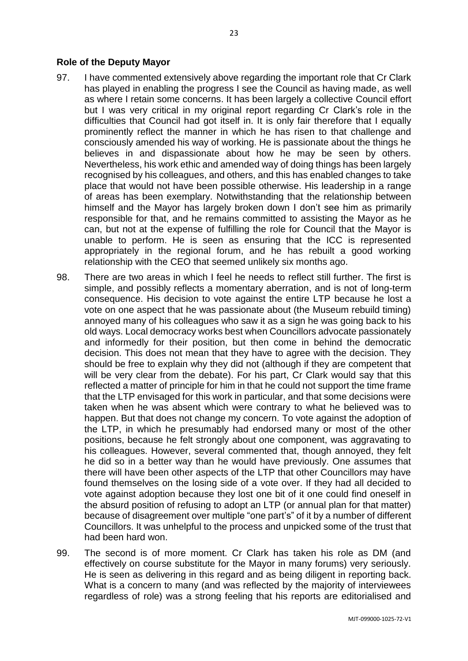#### **Role of the Deputy Mayor**

- 97. I have commented extensively above regarding the important role that Cr Clark has played in enabling the progress I see the Council as having made, as well as where I retain some concerns. It has been largely a collective Council effort but I was very critical in my original report regarding Cr Clark's role in the difficulties that Council had got itself in. It is only fair therefore that I equally prominently reflect the manner in which he has risen to that challenge and consciously amended his way of working. He is passionate about the things he believes in and dispassionate about how he may be seen by others. Nevertheless, his work ethic and amended way of doing things has been largely recognised by his colleagues, and others, and this has enabled changes to take place that would not have been possible otherwise. His leadership in a range of areas has been exemplary. Notwithstanding that the relationship between himself and the Mayor has largely broken down I don't see him as primarily responsible for that, and he remains committed to assisting the Mayor as he can, but not at the expense of fulfilling the role for Council that the Mayor is unable to perform. He is seen as ensuring that the ICC is represented appropriately in the regional forum, and he has rebuilt a good working relationship with the CEO that seemed unlikely six months ago.
- 98. There are two areas in which I feel he needs to reflect still further. The first is simple, and possibly reflects a momentary aberration, and is not of long-term consequence. His decision to vote against the entire LTP because he lost a vote on one aspect that he was passionate about (the Museum rebuild timing) annoyed many of his colleagues who saw it as a sign he was going back to his old ways. Local democracy works best when Councillors advocate passionately and informedly for their position, but then come in behind the democratic decision. This does not mean that they have to agree with the decision. They should be free to explain why they did not (although if they are competent that will be very clear from the debate). For his part, Cr Clark would say that this reflected a matter of principle for him in that he could not support the time frame that the LTP envisaged for this work in particular, and that some decisions were taken when he was absent which were contrary to what he believed was to happen. But that does not change my concern. To vote against the adoption of the LTP, in which he presumably had endorsed many or most of the other positions, because he felt strongly about one component, was aggravating to his colleagues. However, several commented that, though annoyed, they felt he did so in a better way than he would have previously. One assumes that there will have been other aspects of the LTP that other Councillors may have found themselves on the losing side of a vote over. If they had all decided to vote against adoption because they lost one bit of it one could find oneself in the absurd position of refusing to adopt an LTP (or annual plan for that matter) because of disagreement over multiple "one part's" of it by a number of different Councillors. It was unhelpful to the process and unpicked some of the trust that had been hard won.
- 99. The second is of more moment. Cr Clark has taken his role as DM (and effectively on course substitute for the Mayor in many forums) very seriously. He is seen as delivering in this regard and as being diligent in reporting back. What is a concern to many (and was reflected by the majority of interviewees regardless of role) was a strong feeling that his reports are editorialised and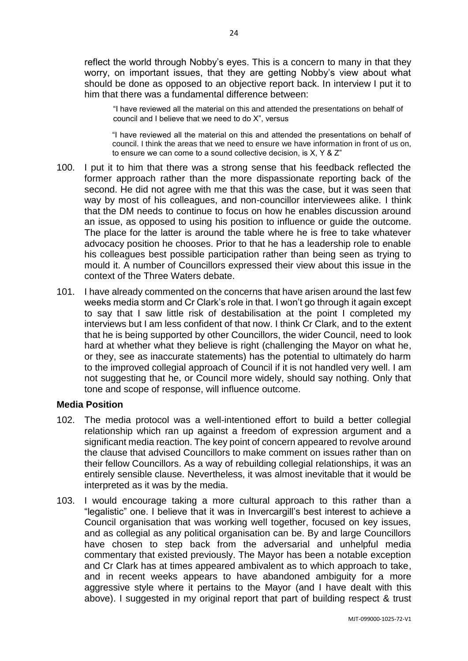reflect the world through Nobby's eyes. This is a concern to many in that they worry, on important issues, that they are getting Nobby's view about what should be done as opposed to an objective report back. In interview I put it to him that there was a fundamental difference between:

"I have reviewed all the material on this and attended the presentations on behalf of council and I believe that we need to do X", versus

"I have reviewed all the material on this and attended the presentations on behalf of council. I think the areas that we need to ensure we have information in front of us on, to ensure we can come to a sound collective decision, is X, Y & Z"

- 100. I put it to him that there was a strong sense that his feedback reflected the former approach rather than the more dispassionate reporting back of the second. He did not agree with me that this was the case, but it was seen that way by most of his colleagues, and non-councillor interviewees alike. I think that the DM needs to continue to focus on how he enables discussion around an issue, as opposed to using his position to influence or guide the outcome. The place for the latter is around the table where he is free to take whatever advocacy position he chooses. Prior to that he has a leadership role to enable his colleagues best possible participation rather than being seen as trying to mould it. A number of Councillors expressed their view about this issue in the context of the Three Waters debate.
- 101. I have already commented on the concerns that have arisen around the last few weeks media storm and Cr Clark's role in that. I won't go through it again except to say that I saw little risk of destabilisation at the point I completed my interviews but I am less confident of that now. I think Cr Clark, and to the extent that he is being supported by other Councillors, the wider Council, need to look hard at whether what they believe is right (challenging the Mayor on what he, or they, see as inaccurate statements) has the potential to ultimately do harm to the improved collegial approach of Council if it is not handled very well. I am not suggesting that he, or Council more widely, should say nothing. Only that tone and scope of response, will influence outcome.

#### **Media Position**

- 102. The media protocol was a well-intentioned effort to build a better collegial relationship which ran up against a freedom of expression argument and a significant media reaction. The key point of concern appeared to revolve around the clause that advised Councillors to make comment on issues rather than on their fellow Councillors. As a way of rebuilding collegial relationships, it was an entirely sensible clause. Nevertheless, it was almost inevitable that it would be interpreted as it was by the media.
- 103. I would encourage taking a more cultural approach to this rather than a "legalistic" one. I believe that it was in Invercargill's best interest to achieve a Council organisation that was working well together, focused on key issues, and as collegial as any political organisation can be. By and large Councillors have chosen to step back from the adversarial and unhelpful media commentary that existed previously. The Mayor has been a notable exception and Cr Clark has at times appeared ambivalent as to which approach to take, and in recent weeks appears to have abandoned ambiguity for a more aggressive style where it pertains to the Mayor (and I have dealt with this above). I suggested in my original report that part of building respect & trust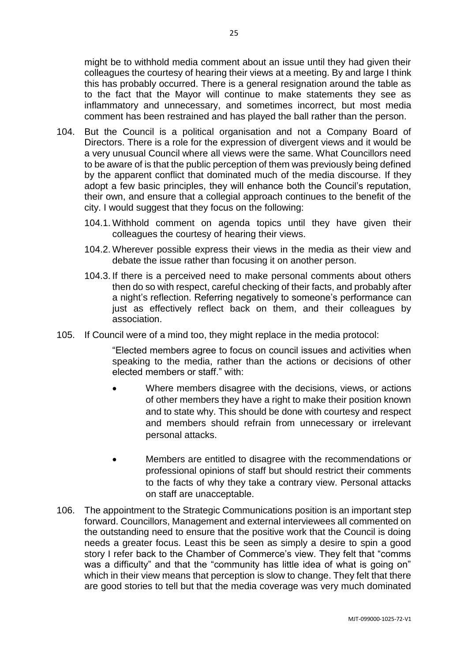might be to withhold media comment about an issue until they had given their colleagues the courtesy of hearing their views at a meeting. By and large I think this has probably occurred. There is a general resignation around the table as to the fact that the Mayor will continue to make statements they see as inflammatory and unnecessary, and sometimes incorrect, but most media comment has been restrained and has played the ball rather than the person.

- 104. But the Council is a political organisation and not a Company Board of Directors. There is a role for the expression of divergent views and it would be a very unusual Council where all views were the same. What Councillors need to be aware of is that the public perception of them was previously being defined by the apparent conflict that dominated much of the media discourse. If they adopt a few basic principles, they will enhance both the Council's reputation, their own, and ensure that a collegial approach continues to the benefit of the city. I would suggest that they focus on the following:
	- 104.1. Withhold comment on agenda topics until they have given their colleagues the courtesy of hearing their views.
	- 104.2. Wherever possible express their views in the media as their view and debate the issue rather than focusing it on another person.
	- 104.3. If there is a perceived need to make personal comments about others then do so with respect, careful checking of their facts, and probably after a night's reflection. Referring negatively to someone's performance can just as effectively reflect back on them, and their colleagues by association.
- 105. If Council were of a mind too, they might replace in the media protocol:

"Elected members agree to focus on council issues and activities when speaking to the media, rather than the actions or decisions of other elected members or staff." with:

- Where members disagree with the decisions, views, or actions of other members they have a right to make their position known and to state why. This should be done with courtesy and respect and members should refrain from unnecessary or irrelevant personal attacks.
- Members are entitled to disagree with the recommendations or professional opinions of staff but should restrict their comments to the facts of why they take a contrary view. Personal attacks on staff are unacceptable.
- 106. The appointment to the Strategic Communications position is an important step forward. Councillors, Management and external interviewees all commented on the outstanding need to ensure that the positive work that the Council is doing needs a greater focus. Least this be seen as simply a desire to spin a good story I refer back to the Chamber of Commerce's view. They felt that "comms was a difficulty" and that the "community has little idea of what is going on" which in their view means that perception is slow to change. They felt that there are good stories to tell but that the media coverage was very much dominated